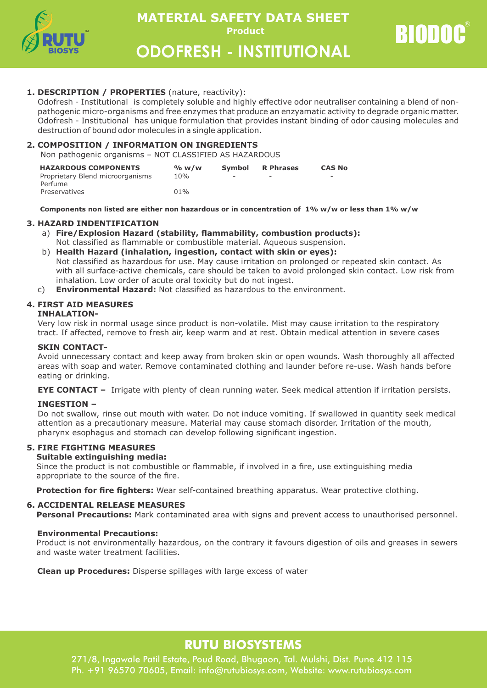

**Product BIODOC MATERIAL SAFETY DATA SHEET** 

**ODOFRESH - INSTITUTIONAL** 

## **1. DESCRIPTION / PROPERTIES** (nature, reactivity):

Odofresh - Institutional is completely soluble and highly effective odor neutraliser containing a blend of nonpathogenic micro-organisms and free enzymes that produce an enzyamatic activity to degrade organic matter. Odofresh - Institutional has unique formulation that provides instant binding of odor causing molecules and destruction of bound odor molecules in a single application.

## **2. COMPOSITION / INFORMATION ON INGREDIENTS**

Non pathogenic organisms – NOT CLASSIFIED AS HAZARDOUS

| <b>HAZARDOUS COMPONENTS</b>      | % w/w | <b>Symbol</b> | <b>R</b> Phrases | <b>CAS No</b>            |
|----------------------------------|-------|---------------|------------------|--------------------------|
| Proprietary Blend microorganisms | 10%   | -             |                  | $\overline{\phantom{0}}$ |
| Perfume                          |       |               |                  |                          |
| Preservatives                    | 01%   |               |                  |                          |

 **Components non listed are either non hazardous or in concentration of 1% w/w or less than 1% w/w**

## **3. HAZARD INDENTIFICATION**

a) **Fire/Explosion Hazard (stability, flammability, combustion products):** Not classified as flammable or combustible material. Aqueous suspension.

## b) **Health Hazard (inhalation, ingestion, contact with skin or eyes):**

Not classified as hazardous for use. May cause irritation on prolonged or repeated skin contact. As with all surface-active chemicals, care should be taken to avoid prolonged skin contact. Low risk from inhalation. Low order of acute oral toxicity but do not ingest.

c) **Environmental Hazard:** Not classified as hazardous to the environment.

## **4. FIRST AID MEASURES**

### **INHALATION-**

Very low risk in normal usage since product is non-volatile. Mist may cause irritation to the respiratory tract. If affected, remove to fresh air, keep warm and at rest. Obtain medical attention in severe cases

### SKIN CONTACT-

Avoid unnecessary contact and keep away from broken skin or open wounds. Wash thoroughly all affected areas with soap and water. Remove contaminated clothing and launder before re-use. Wash hands before eating or drinking.

**EYE CONTACT –** Irrigate with plenty of clean running water. Seek medical attention if irritation persists.

### **INGESTION –**

Do not swallow, rinse out mouth with water. Do not induce vomiting. If swallowed in quantity seek medical attention as a precautionary measure. Material may cause stomach disorder. Irritation of the mouth, pharynx esophagus and stomach can develop following significant ingestion.

## **5. FIRE FIGHTING MEASURES**

### **Suitable extinguishing media:**

Since the product is not combustible or flammable, if involved in a fire, use extinguishing media appropriate to the source of the fire.

**Protection for fire fighters:** Wear self-contained breathing apparatus. Wear protective clothing.

### **6. ACCIDENTAL RELEASE MEASURES**

**Personal Precautions:** Mark contaminated area with signs and prevent access to unauthorised personnel.

### **Environmental Precautions:**

Product is not environmentally hazardous, on the contrary it favours digestion of oils and greases in sewers and waste water treatment facilities.

 **Clean up Procedures:** Disperse spillages with large excess of water

## **RUTU BIOSYSTEMS**

271/8, Ingawale Patil Estate, Poud Road, Bhugaon, Tal. Mulshi, Dist. Pune 412 115 Ph. +91 96570 70605, Email: info@rutubiosys.com, Website: www.rutubiosys.com